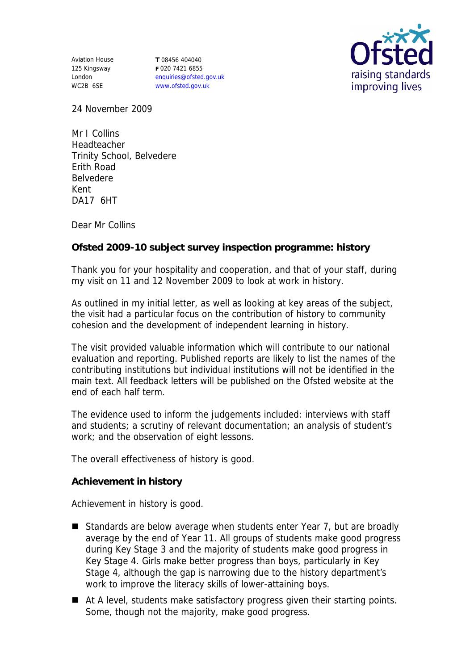Aviation House 125 Kingsway London WC2B 6SE

**T** 08456 404040 **F** 020 7421 6855 enquiries@ofsted.gov.uk www.ofsted.gov.uk



24 November 2009

Mr I Collins Headteacher Trinity School, Belvedere Erith Road Belvedere Kent DA17 6HT

Dear Mr Collins

**Ofsted 2009-10 subject survey inspection programme: history**

Thank you for your hospitality and cooperation, and that of your staff, during my visit on 11 and 12 November 2009 to look at work in history.

As outlined in my initial letter, as well as looking at key areas of the subject, the visit had a particular focus on the contribution of history to community cohesion and the development of independent learning in history.

The visit provided valuable information which will contribute to our national evaluation and reporting. Published reports are likely to list the names of the contributing institutions but individual institutions will not be identified in the main text. All feedback letters will be published on the Ofsted website at the end of each half term.

The evidence used to inform the judgements included: interviews with staff and students; a scrutiny of relevant documentation; an analysis of student's work; and the observation of eight lessons.

The overall effectiveness of history is good.

**Achievement in history**

Achievement in history is good.

- Standards are below average when students enter Year 7, but are broadly average by the end of Year 11. All groups of students make good progress during Key Stage 3 and the majority of students make good progress in Key Stage 4. Girls make better progress than boys, particularly in Key Stage 4, although the gap is narrowing due to the history department's work to improve the literacy skills of lower-attaining boys.
- At A level, students make satisfactory progress given their starting points. Some, though not the majority, make good progress.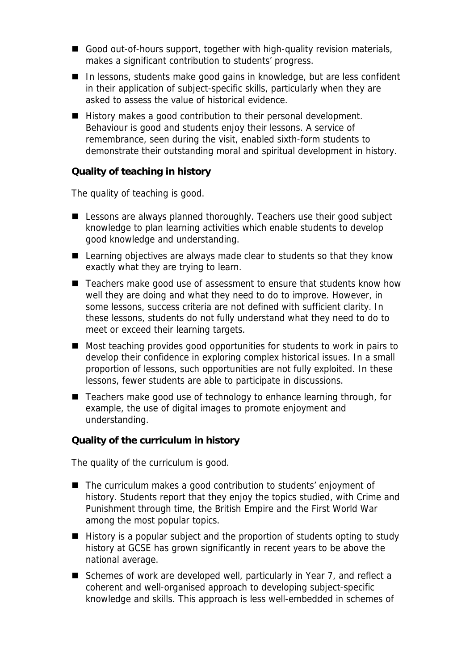- Good out-of-hours support, together with high-quality revision materials, makes a significant contribution to students' progress.
- In lessons, students make good gains in knowledge, but are less confident in their application of subject-specific skills, particularly when they are asked to assess the value of historical evidence.
- History makes a good contribution to their personal development. Behaviour is good and students enjoy their lessons. A service of remembrance, seen during the visit, enabled sixth-form students to demonstrate their outstanding moral and spiritual development in history.

## **Quality of teaching in history**

The quality of teaching is good.

- Lessons are always planned thoroughly. Teachers use their good subject knowledge to plan learning activities which enable students to develop good knowledge and understanding.
- Learning objectives are always made clear to students so that they know exactly what they are trying to learn.
- Teachers make good use of assessment to ensure that students know how well they are doing and what they need to do to improve. However, in some lessons, success criteria are not defined with sufficient clarity. In these lessons, students do not fully understand what they need to do to meet or exceed their learning targets.
- Most teaching provides good opportunities for students to work in pairs to develop their confidence in exploring complex historical issues. In a small proportion of lessons, such opportunities are not fully exploited. In these lessons, fewer students are able to participate in discussions.
- Teachers make good use of technology to enhance learning through, for example, the use of digital images to promote enjoyment and understanding.

**Quality of the curriculum in history**

The quality of the curriculum is good.

- The curriculum makes a good contribution to students' enjoyment of history. Students report that they enjoy the topics studied, with Crime and Punishment through time, the British Empire and the First World War among the most popular topics.
- History is a popular subject and the proportion of students opting to study history at GCSE has grown significantly in recent years to be above the national average.
- Schemes of work are developed well, particularly in Year 7, and reflect a coherent and well-organised approach to developing subject-specific knowledge and skills. This approach is less well-embedded in schemes of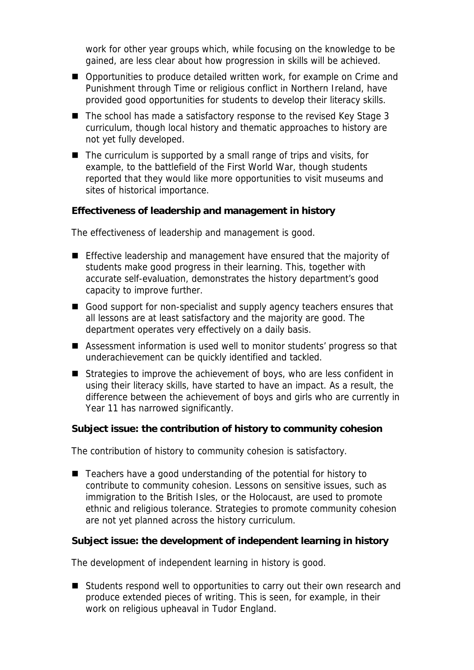work for other year groups which, while focusing on the knowledge to be gained, are less clear about how progression in skills will be achieved.

- Opportunities to produce detailed written work, for example on Crime and Punishment through Time or religious conflict in Northern Ireland, have provided good opportunities for students to develop their literacy skills.
- The school has made a satisfactory response to the revised Key Stage 3 curriculum, though local history and thematic approaches to history are not yet fully developed.
- $\blacksquare$  The curriculum is supported by a small range of trips and visits, for example, to the battlefield of the First World War, though students reported that they would like more opportunities to visit museums and sites of historical importance.

**Effectiveness of leadership and management in history**

The effectiveness of leadership and management is good.

- **Effective leadership and management have ensured that the majority of** students make good progress in their learning. This, together with accurate self-evaluation, demonstrates the history department's good capacity to improve further.
- Good support for non-specialist and supply agency teachers ensures that all lessons are at least satisfactory and the majority are good. The department operates very effectively on a daily basis.
- Assessment information is used well to monitor students' progress so that underachievement can be quickly identified and tackled.
- Strategies to improve the achievement of boys, who are less confident in using their literacy skills, have started to have an impact. As a result, the difference between the achievement of boys and girls who are currently in Year 11 has narrowed significantly.

**Subject issue: the contribution of history to community cohesion**

The contribution of history to community cohesion is satisfactory.

■ Teachers have a good understanding of the potential for history to contribute to community cohesion. Lessons on sensitive issues, such as immigration to the British Isles, or the Holocaust, are used to promote ethnic and religious tolerance. Strategies to promote community cohesion are not yet planned across the history curriculum.

**Subject issue: the development of independent learning in history**

The development of independent learning in history is good.

■ Students respond well to opportunities to carry out their own research and produce extended pieces of writing. This is seen, for example, in their work on religious upheaval in Tudor England.